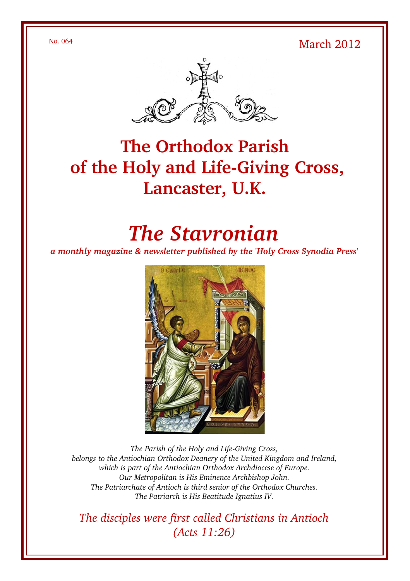No. 064 March 2012



# **The Orthodox Parish** of the Holy and Life-Giving Cross, **Lancaster, U.K.**

# *The Stavronian*

*a monthly magazine & newsletter published by the 'Holy Cross Synodia Press'*



The Parish of the Holy and Life-Giving Cross, *belongs to the Antiochian Orthodox Deanery of the United Kingdom and Ireland, which is part of the Antiochian Orthodox Archdiocese of Europe. Our Metropolitan is His Eminence Archbishop John. The Patriarchate of Antioch is third senior of the Orthodox Churches. The Patriarch is His Beatitude Ignatius IV.*

*The disciples were first called Christians in Antioch (Acts 11:26)*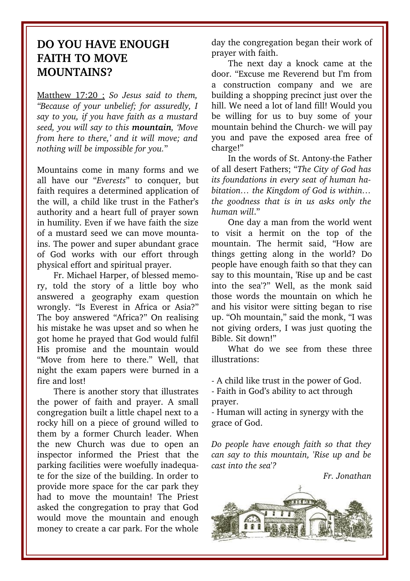## **DO YOU HAVE ENOUGH FAITH TO MOVE MOUNTAINS?**

Matthew 17:20 ; *So Jesus said to them, "Because of your unbelief; for assuredly, I say to you, if you have faith as a mustard seed, you will say to this mountain, 'Move from here to there,' and it will move; and nothing will be impossible for you.*"

Mountains come in many forms and we all have our "*Everests*" to conquer, but faith requires a determined application of the will, a child like trust in the Father's authority and a heart full of prayer sown in humility. Even if we have faith the size of a mustard seed we can move mountains. The power and super abundant grace of God works with our effort through physical effort and spiritual prayer.

Fr. Michael Harper, of blessed memory, told the story of a little boy who answered a geography exam question wrongly. "Is Everest in Africa or Asia?" The boy answered "Africa?" On realising his mistake he was upset and so when he got home he prayed that God would fulfil His promise and the mountain would "Move from here to there." Well, that night the exam papers were burned in a fire and lost!

There is another story that illustrates the power of faith and prayer. A small congregation built a little chapel next to a rocky hill on a piece of ground willed to them by a former Church leader. When the new Church was due to open an inspector informed the Priest that the parking facilities were woefully inadequate for the size of the building. In order to provide more space for the car park they had to move the mountain! The Priest asked the congregation to pray that God would move the mountain and enough money to create a car park. For the whole

day the congregation began their work of prayer with faith.

The next day a knock came at the door. "Excuse me Reverend but I'm from a construction company and we are building a shopping precinct just over the hill. We need a lot of land fill! Would you be willing for us to buy some of your mountain behind the Church- we will pay you and pave the exposed area free of charge!"

In the words of St. Antony-the Father of all desert Fathers; "*The City of God has its foundations in every seat of human habitation… the Kingdom of God is within… the goodness that is in us asks only the human will*."

One day a man from the world went to visit a hermit on the top of the mountain. The hermit said, "How are things getting along in the world? Do people have enough faith so that they can say to this mountain, 'Rise up and be cast into the sea'?" Well, as the monk said those words the mountain on which he and his visitor were sitting began to rise up. "Oh mountain," said the monk, "I was not giving orders, I was just quoting the Bible. Sit down!"

What do we see from these three illustrations:

A child like trust in the power of God.

 Faith in God's ability to act through prayer.

 Human will acting in synergy with the grace of God.

*Do people have enough faith so that they can say to this mountain, 'Rise up and be cast into the sea'?*

*Fr. Jonathan*

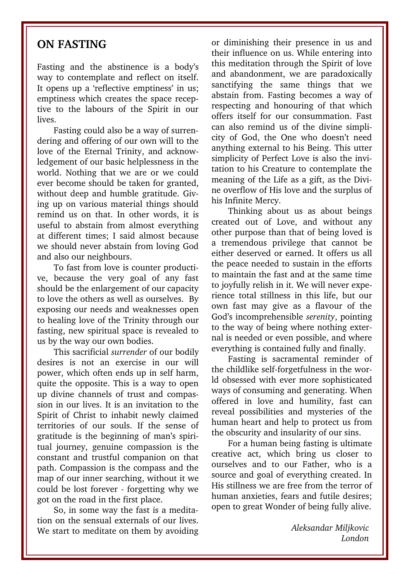#### **ON FASTING**

Fasting and the abstinence is a body's way to contemplate and reflect on itself. It opens up a 'reflective emptiness' in us; emptiness which creates the space receptive to the labours of the Spirit in our lives.

Fasting could also be a way of surrendering and offering of our own will to the love of the Eternal Trinity, and acknowledgement of our basic helplessness in the world. Nothing that we are or we could ever become should be taken for granted, without deep and humble gratitude. Giving up on various material things should remind us on that. In other words, it is useful to abstain from almost everything at different times; I said almost because we should never abstain from loving God and also our neighbours.

To fast from love is counter productive, because the very goal of any fast should be the enlargement of our capacity to love the others as well as ourselves. By exposing our needs and weaknesses open to healing love of the Trinity through our fasting, new spiritual space is revealed to us by the way our own bodies.

This sacrificial *surrender* of our bodily desires is not an exercise in our will power, which often ends up in self harm, quite the opposite. This is a way to open up divine channels of trust and compassion in our lives. It is an invitation to the Spirit of Christ to inhabit newly claimed territories of our souls. If the sense of gratitude is the beginning of man's spiritual journey, genuine compassion is the constant and trustful companion on that path. Compassion is the compass and the map of our inner searching, without it we could be lost forever - forgetting why we got on the road in the first place.

So, in some way the fast is a meditation on the sensual externals of our lives. We start to meditate on them by avoiding or diminishing their presence in us and their influence on us. While entering into this meditation through the Spirit of love and abandonment, we are paradoxically sanctifying the same things that we abstain from. Fasting becomes a way of respecting and honouring of that which offers itself for our consummation. Fast can also remind us of the divine simplicity of God, the One who doesn't need anything external to his Being. This utter simplicity of Perfect Love is also the invitation to his Creature to contemplate the meaning of the Life as a gift, as the Divine overflow of His love and the surplus of his Infinite Mercy.

Thinking about us as about beings created out of Love, and without any other purpose than that of being loved is a tremendous privilege that cannot be either deserved or earned. It offers us all the peace needed to sustain in the efforts to maintain the fast and at the same time to joyfully relish in it. We will never experience total stillness in this life, but our own fast may give as a flavour of the God's incomprehensible *serenity*, pointing to the way of being where nothing external is needed or even possible, and where everything is contained fully and finally.

Fasting is sacramental reminder of the childlike self-forgetfulness in the world obsessed with ever more sophisticated ways of consuming and generating. When offered in love and humility, fast can reveal possibilities and mysteries of the human heart and help to protect us from the obscurity and insularity of our sins.

For a human being fasting is ultimate creative act, which bring us closer to ourselves and to our Father, who is a source and goal of everything created. In His stillness we are free from the terror of human anxieties, fears and futile desires; open to great Wonder of being fully alive.

> *Aleksandar Miljkovic London*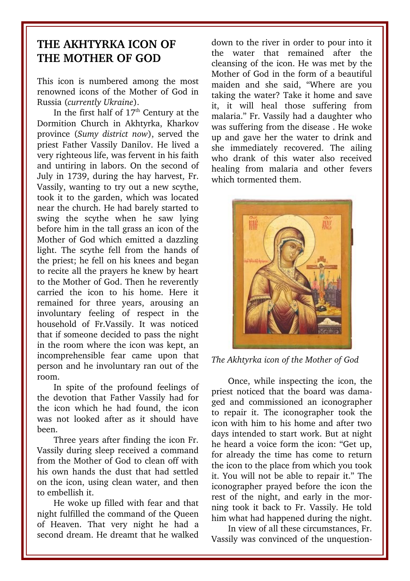# **THE AKHTYRKA ICON OF THE MOTHER OF GOD**

This icon is numbered among the most renowned icons of the Mother of God in Russia (*currently Ukraine*).

In the first half of  $17<sup>th</sup>$  Century at the Dormition Church in Akhtyrka, Kharkov province (*Sumy district now*), served the priest Father Vassily Danilov. He lived a very righteous life, was fervent in his faith and untiring in labors. On the second of July in 1739, during the hay harvest, Fr. Vassily, wanting to try out a new scythe, took it to the garden, which was located near the church. He had barely started to swing the scythe when he saw lying before him in the tall grass an icon of the Mother of God which emitted a dazzling light. The scythe fell from the hands of the priest; he fell on his knees and began to recite all the prayers he knew by heart to the Mother of God. Then he reverently carried the icon to his home. Here it remained for three years, arousing an involuntary feeling of respect in the household of Fr. Vassily. It was noticed that if someone decided to pass the night in the room where the icon was kept, an incomprehensible fear came upon that person and he involuntary ran out of the room.

In spite of the profound feelings of the devotion that Father Vassily had for the icon which he had found, the icon was not looked after as it should have been.

Three years after finding the icon Fr. Vassily during sleep received a command from the Mother of God to clean off with his own hands the dust that had settled on the icon, using clean water, and then to embellish it.

He woke up filled with fear and that night fulfilled the command of the Queen of Heaven. That very night he had a second dream. He dreamt that he walked down to the river in order to pour into it the water that remained after the cleansing of the icon. He was met by the Mother of God in the form of a beautiful maiden and she said, "Where are vou taking the water? Take it home and save it, it will heal those suffering from malaria." Fr. Vassily had a daughter who was suffering from the disease . He woke up and gave her the water to drink and she immediately recovered. The ailing who drank of this water also received healing from malaria and other fevers which tormented them.



*The Akhtyrka icon of the Mother of God*

Once, while inspecting the icon, the priest noticed that the board was damaged and commissioned an iconographer to repair it. The iconographer took the icon with him to his home and after two days intended to start work. But at night he heard a voice form the icon: "Get up, for already the time has come to return the icon to the place from which you took it. You will not be able to repair it." The iconographer prayed before the icon the rest of the night, and early in the morning took it back to Fr. Vassily. He told him what had happened during the night.

In view of all these circumstances, Fr. Vassily was convinced of the unquestion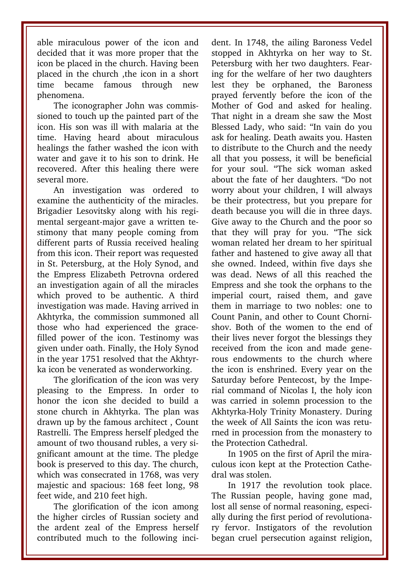able miraculous power of the icon and decided that it was more proper that the icon be placed in the church. Having been placed in the church ,the icon in a short time became famous through new phenomena.

The iconographer John was commissioned to touch up the painted part of the icon. His son was ill with malaria at the time. Having heard about miraculous healings the father washed the icon with water and gave it to his son to drink. He recovered. After this healing there were several more.

An investigation was ordered to examine the authenticity of the miracles. Brigadier Lesovitsky along with his regimental sergeant-major gave a written testimony that many people coming from different parts of Russia received healing from this icon. Their report was requested in St. Petersburg, at the Holy Synod, and the Empress Elizabeth Petrovna ordered an investigation again of all the miracles which proved to be authentic. A third investigation was made. Having arrived in Akhtyrka, the commission summoned all those who had experienced the gracefilled power of the icon. Testinomy was given under oath. Finally, the Holy Synod in the year 1751 resolved that the Akhtyrka icon be venerated as wonderworking.

The glorification of the icon was very pleasing to the Empress. In order to honor the icon she decided to build a stone church in Akhtyrka. The plan was drawn up by the famous architect , Count Rastrelli. The Empress herself pledged the amount of two thousand rubles, a very significant amount at the time. The pledge book is preserved to this day. The church, which was consecrated in 1768, was very majestic and spacious: 168 feet long, 98 feet wide, and 210 feet high.

The glorification of the icon among the higher circles of Russian society and the ardent zeal of the Empress herself contributed much to the following incident. In 1748, the ailing Baroness Vedel stopped in Akhtyrka on her way to St. Petersburg with her two daughters. Fearing for the welfare of her two daughters lest they be orphaned, the Baroness prayed fervently before the icon of the Mother of God and asked for healing. That night in a dream she saw the Most Blessed Lady, who said: "In vain do you ask for healing. Death awaits you. Hasten to distribute to the Church and the needy all that you possess, it will be beneficial for your soul. "The sick woman asked about the fate of her daughters. "Do not worry about your children, I will always be their protectress, but you prepare for death because you will die in three days. Give away to the Church and the poor so that they will pray for you. "The sick woman related her dream to her spiritual father and hastened to give away all that she owned. Indeed, within five days she was dead. News of all this reached the Empress and she took the orphans to the imperial court, raised them, and gave them in marriage to two nobles: one to Count Panin, and other to Count Chornishov. Both of the women to the end of their lives never forgot the blessings they received from the icon and made generous endowments to the church where the icon is enshrined. Every year on the Saturday before Pentecost, by the Imperial command of Nicolas I, the holy icon was carried in solemn procession to the Akhtyrka-Holy Trinity Monastery. During the week of All Saints the icon was returned in procession from the monastery to the Protection Cathedral.

In 1905 on the first of April the miraculous icon kept at the Protection Cathedral was stolen.

In 1917 the revolution took place. The Russian people, having gone mad, lost all sense of normal reasoning, especially during the first period of revolutionary fervor. Instigators of the revolution began cruel persecution against religion,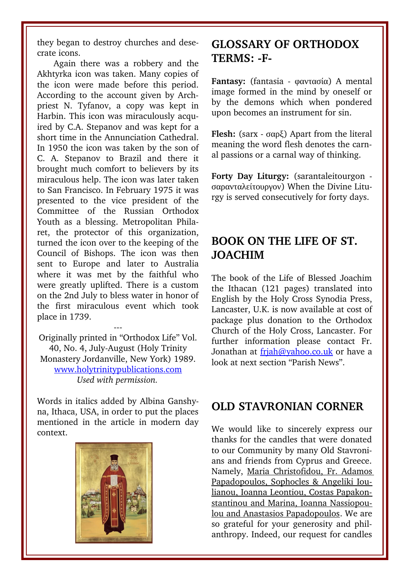they began to destroy churches and desecrate icons.

Again there was a robbery and the Akhtyrka icon was taken. Many copies of the icon were made before this period. According to the account given by Archpriest N. Tyfanov, a copy was kept in Harbin. This icon was miraculously acquired by C.A. Stepanov and was kept for a short time in the Annunciation Cathedral. In 1950 the icon was taken by the son of C. A. Stepanov to Brazil and there it brought much comfort to believers by its miraculous help. The icon was later taken to San Francisco. In February 1975 it was presented to the vice president of the Committee of the Russian Orthodox Youth as a blessing. Metropolitan Philaret, the protector of this organization, turned the icon over to the keeping of the Council of Bishops. The icon was then sent to Europe and later to Australia where it was met by the faithful who were greatly uplifted. There is a custom on the 2nd July to bless water in honor of the first miraculous event which took place in 1739.

Originally printed in "Orthodox Life" Vol. 40, No. 4, July-August (Holy Trinity Monastery Jordanville, New York) 1989. [www.holytrinitypublications.com](http://www.holytrinitypublications.com/) *Used with permission.*

---

Words in italics added by Albina Ganshyna, Ithaca, USA, in order to put the places mentioned in the article in modern day context.



### **GLOSSARY OF ORTHODOX** TERMS: -F-

**Fantasy:** (fantasia - φαντασία) A mental image formed in the mind by oneself or by the demons which when pondered upon becomes an instrument for sin.

**Flesh:** (sarx - σαρξ) Apart from the literal meaning the word flesh denotes the carnal passions or a carnal way of thinking.

**Forty Day Liturgy:** (sarantaleitourgon σαρανταλείτουργον) When the Divine Liturgy is served consecutively for forty days.

# **BOOK ON THE LIFE OF ST. JOACHIM**

The book of the Life of Blessed Joachim the Ithacan (121 pages) translated into English by the Holy Cross Synodia Press, Lancaster, U.K. is now available at cost of package plus donation to the Orthodox Church of the Holy Cross, Lancaster. For further information please contact Fr. Jonathan at friah@yahoo.co.uk or have a look at next section "Parish News".

#### **OLD STAVRONIAN CORNER**

We would like to sincerely express our thanks for the candles that were donated to our Community by many Old Stavronians and friends from Cyprus and Greece. Namely, Maria Christofidou, Fr. Adamos Papadopoulos, Sophocles & Angeliki Ioulianou, Ioanna Leontiou, Costas Papakonstantinou and Marina, Ioanna Nassiopoulou and Anastasios Papadopoulos. We are so grateful for your generosity and philanthropy. Indeed, our request for candles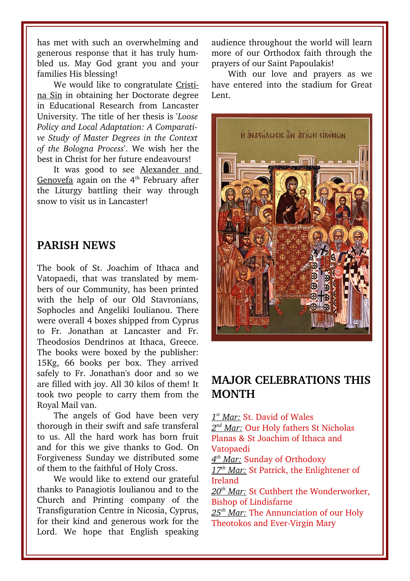has met with such an overwhelming and generous response that it has truly humbled us. May God grant you and your families His blessing!

We would like to congratulate Cristina Sin in obtaining her Doctorate degree in Educational Research from Lancaster University. The title of her thesis is '*Loose Policy and Local Adaptation: A Comparative Study of Master Degrees in the Context of the Bologna Process*'. We wish her the best in Christ for her future endeavours!

It was good to see Alexander and Genovefa again on the  $4<sup>th</sup>$  February after the Liturgy battling their way through snow to visit us in Lancaster!

#### **PARISH NEWS**

The book of St. Joachim of Ithaca and Vatopaedi, that was translated by members of our Community, has been printed with the help of our Old Stavronians, Sophocles and Angeliki Ioulianou. There were overall 4 boxes shipped from Cyprus to Fr. Jonathan at Lancaster and Fr. Theodosios Dendrinos at Ithaca, Greece. The books were boxed by the publisher: 15Kg, 66 books per box. They arrived safely to Fr. Jonathan's door and so we are filled with joy. All 30 kilos of them! It took two people to carry them from the Royal Mail van.

The angels of God have been very thorough in their swift and safe transferal to us. All the hard work has born fruit and for this we give thanks to God. On Forgiveness Sunday we distributed some of them to the faithful of Holy Cross.

We would like to extend our grateful thanks to Panagiotis Ioulianou and to the Church and Printing company of the Transfiguration Centre in Nicosia, Cyprus, for their kind and generous work for the Lord. We hope that English speaking

audience throughout the world will learn more of our Orthodox faith through the prayers of our Saint Papoulakis!

With our love and prayers as we have entered into the stadium for Great Lent.



#### **MAJOR CELEBRATIONS THIS MONTH**

 *1 st Mar:* St. David of Wales  *2 nd Mar:* Our Holy fathers St Nicholas Planas & St Joachim of Ithaca and Vatopaedi  *4 th Mar:* Sunday of Orthodoxy

 *17th Mar:* St Patrick, the Enlightener of Ireland

 *20th Mar:* St Cuthbert the Wonderworker, Bishop of Lindisfarne

 *25th Mar:* The Annunciation of our Holy Theotokos and Ever-Virgin Mary